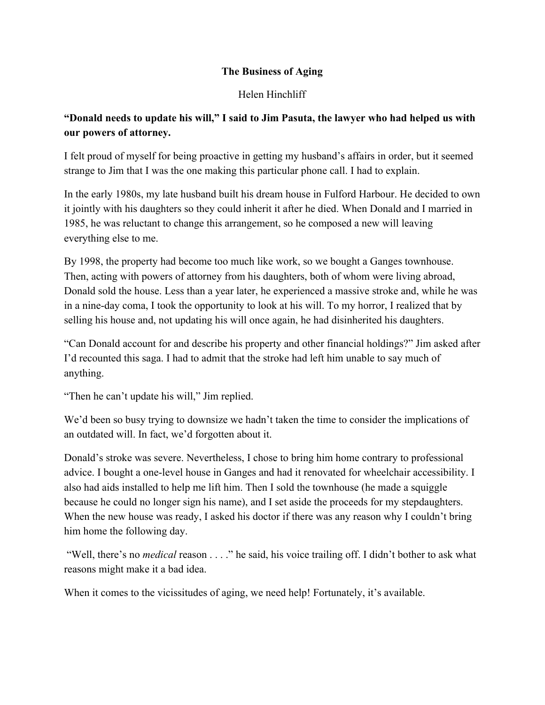## **The Business of Aging**

## Helen Hinchliff

## **"Donald needs to update his will," I said to Jim Pasuta, the lawyer who had helped us with our powers of attorney.**

I felt proud of myself for being proactive in getting my husband's affairs in order, but it seemed strange to Jim that I was the one making this particular phone call. I had to explain.

In the early 1980s, my late husband built his dream house in Fulford Harbour. He decided to own it jointly with his daughters so they could inherit it after he died. When Donald and I married in 1985, he was reluctant to change this arrangement, so he composed a new will leaving everything else to me.

By 1998, the property had become too much like work, so we bought a Ganges townhouse. Then, acting with powers of attorney from his daughters, both of whom were living abroad, Donald sold the house. Less than a year later, he experienced a massive stroke and, while he was in a nineday coma, I took the opportunity to look at his will. To my horror, I realized that by selling his house and, not updating his will once again, he had disinherited his daughters.

"Can Donald account for and describe his property and other financial holdings?" Jim asked after I'd recounted this saga. I had to admit that the stroke had left him unable to say much of anything.

"Then he can't update his will," Jim replied.

We'd been so busy trying to downsize we hadn't taken the time to consider the implications of an outdated will. In fact, we'd forgotten about it.

Donald's stroke was severe. Nevertheless, I chose to bring him home contrary to professional advice. I bought a one-level house in Ganges and had it renovated for wheelchair accessibility. I also had aids installed to help me lift him. Then I sold the townhouse (he made a squiggle because he could no longer sign his name), and I set aside the proceeds for my stepdaughters. When the new house was ready, I asked his doctor if there was any reason why I couldn't bring him home the following day.

"Well, there's no *medical* reason . . . ." he said, his voice trailing off. I didn't bother to ask what reasons might make it a bad idea.

When it comes to the vicissitudes of aging, we need help! Fortunately, it's available.